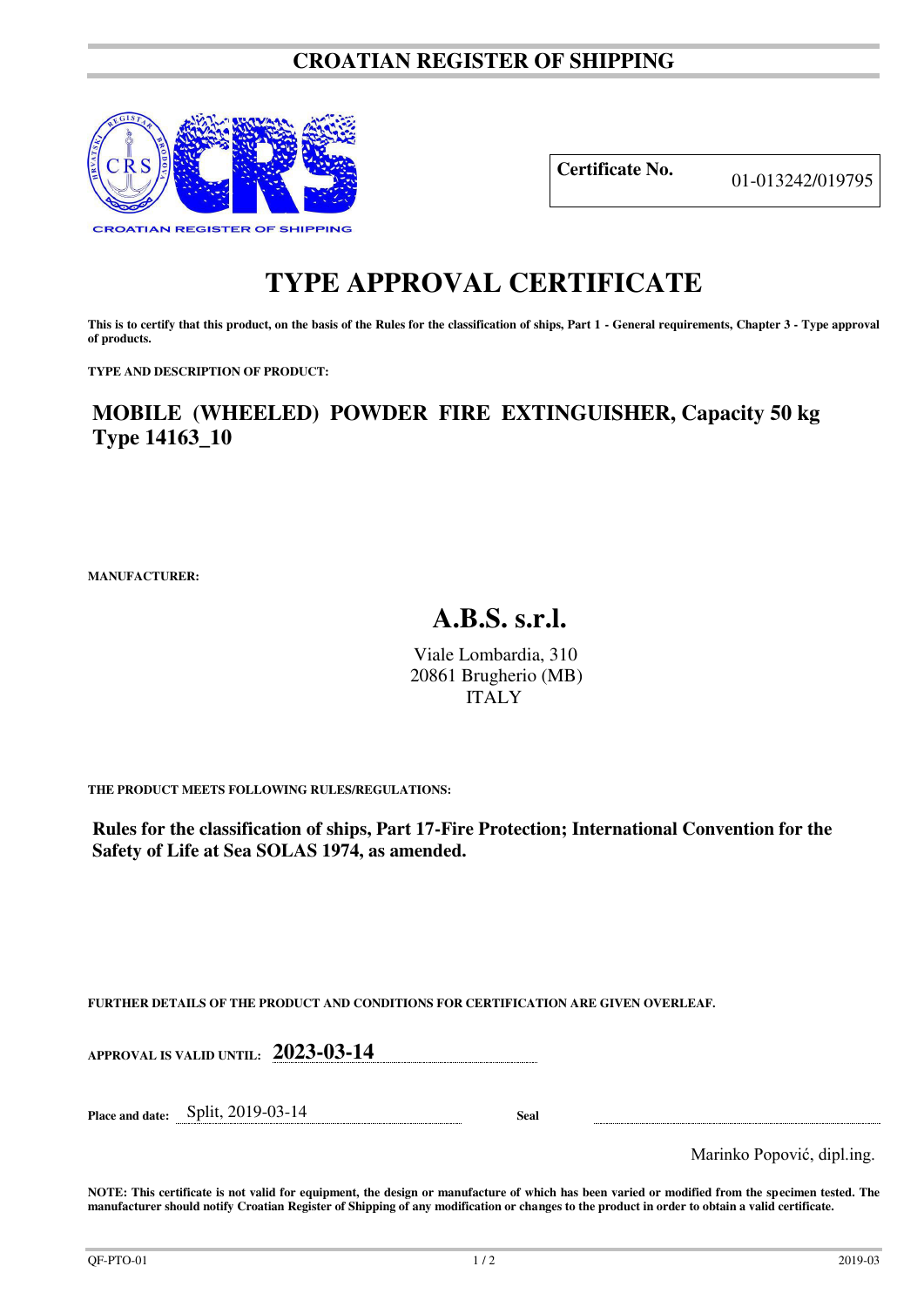## **CROATIAN REGISTER OF SHIPPING**



**Certificate No.** 01-013242/019795

## **TYPE APPROVAL CERTIFICATE**

This is to certify that this product, on the basis of the Rules for the classification of ships, Part 1 - General requirements, Chapter 3 - Type approval **of products.** 

**TYPE AND DESCRIPTION OF PRODUCT:** 

**MOBILE (WHEELED) POWDER FIRE EXTINGUISHER, Capacity 50 kg Type 14163\_10**

**MANUFACTURER:**

## **A.B.S. s.r.l.**

Viale Lombardia, 310 20861 Brugherio (MB) ITALY

**THE PRODUCT MEETS FOLLOWING RULES/REGULATIONS:**

**Rules for the classification of ships, Part 17-Fire Protection; International Convention for the Safety of Life at Sea SOLAS 1974, as amended.**

**FURTHER DETAILS OF THE PRODUCT AND CONDITIONS FOR CERTIFICATION ARE GIVEN OVERLEAF.**

**APPROVAL IS VALID UNTIL: 2023-03-14** 

**Place and date:** Split, 2019-03-14 **Seal** 

Marinko Popović, dipl.ing.

**NOTE: This certificate is not valid for equipment, the design or manufacture of which has been varied or modified from the specimen tested. The manufacturer should notify Croatian Register of Shipping of any modification or changes to the product in order to obtain a valid certificate.**